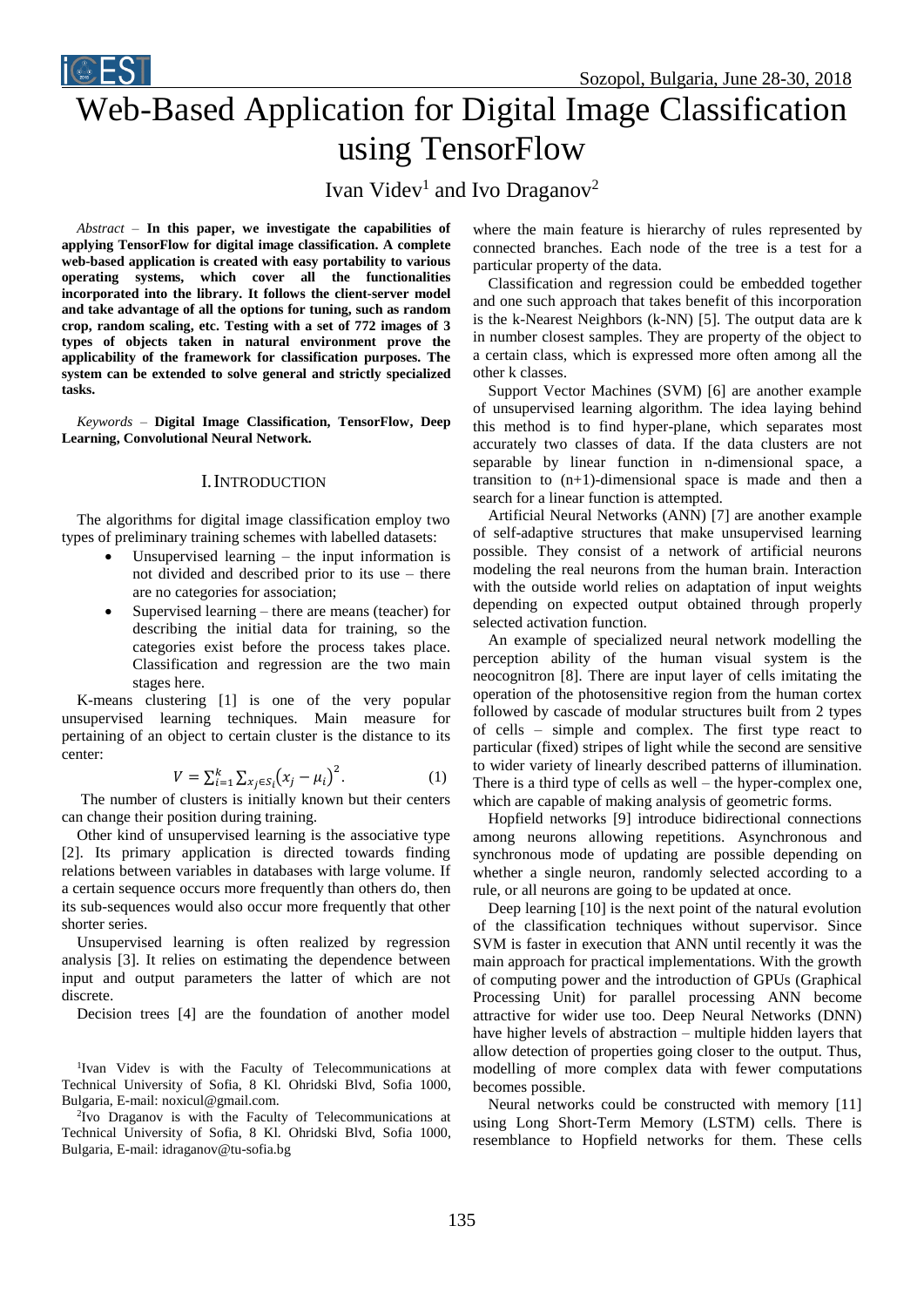# Web-Based Application for Digital Image Classification using TensorFlow

Ivan Videv<sup>1</sup> and Ivo Draganov<sup>2</sup>

*Abstract –* **In this paper, we investigate the capabilities of applying TensorFlow for digital image classification. A complete web-based application is created with easy portability to various operating systems, which cover all the functionalities incorporated into the library. It follows the client-server model and take advantage of all the options for tuning, such as random crop, random scaling, etc. Testing with a set of 772 images of 3 types of objects taken in natural environment prove the applicability of the framework for classification purposes. The system can be extended to solve general and strictly specialized tasks.**

*Keywords –* **Digital Image Classification, TensorFlow, Deep Learning, Convolutional Neural Network.**

## I.INTRODUCTION

The algorithms for digital image classification employ two types of preliminary training schemes with labelled datasets:

- Unsupervised learning the input information is not divided and described prior to its use – there are no categories for association;
- Supervised learning there are means (teacher) for describing the initial data for training, so the categories exist before the process takes place. Classification and regression are the two main stages here.

K-means clustering [1] is one of the very popular unsupervised learning techniques. Main measure for pertaining of an object to certain cluster is the distance to its center:

$$
V = \sum_{i=1}^{k} \sum_{x_j \in S_i} (x_j - \mu_i)^2.
$$
 (1)

The number of clusters is initially known but their centers can change their position during training.

Other kind of unsupervised learning is the associative type [2]. Its primary application is directed towards finding relations between variables in databases with large volume. If a certain sequence occurs more frequently than others do, then its sub-sequences would also occur more frequently that other shorter series.

Unsupervised learning is often realized by regression analysis [3]. It relies on estimating the dependence between input and output parameters the latter of which are not discrete.

Decision trees [4] are the foundation of another model

<sup>1</sup>Ivan Videv is with the Faculty of Telecommunications at Technical University of Sofia, 8 Kl. Ohridski Blvd, Sofia 1000, Bulgaria, E-mail: noxicul@gmail.com.

2 Ivo Draganov is with the Faculty of Telecommunications at Technical University of Sofia, 8 Kl. Ohridski Blvd, Sofia 1000, Bulgaria, E-mail: idraganov@tu-sofia.bg

where the main feature is hierarchy of rules represented by connected branches. Each node of the tree is a test for a particular property of the data.

Classification and regression could be embedded together and one such approach that takes benefit of this incorporation is the k-Nearest Neighbors (k-NN) [5]. The output data are k in number closest samples. They are property of the object to a certain class, which is expressed more often among all the other k classes.

Support Vector Machines (SVM) [6] are another example of unsupervised learning algorithm. The idea laying behind this method is to find hyper-plane, which separates most accurately two classes of data. If the data clusters are not separable by linear function in n-dimensional space, a transition to  $(n+1)$ -dimensional space is made and then a search for a linear function is attempted.

Artificial Neural Networks (ANN) [7] are another example of self-adaptive structures that make unsupervised learning possible. They consist of a network of artificial neurons modeling the real neurons from the human brain. Interaction with the outside world relies on adaptation of input weights depending on expected output obtained through properly selected activation function.

An example of specialized neural network modelling the perception ability of the human visual system is the neocognitron [8]. There are input layer of cells imitating the operation of the photosensitive region from the human cortex followed by cascade of modular structures built from 2 types of cells – simple and complex. The first type react to particular (fixed) stripes of light while the second are sensitive to wider variety of linearly described patterns of illumination. There is a third type of cells as well – the hyper-complex one, which are capable of making analysis of geometric forms.

Hopfield networks [9] introduce bidirectional connections among neurons allowing repetitions. Asynchronous and synchronous mode of updating are possible depending on whether a single neuron, randomly selected according to a rule, or all neurons are going to be updated at once.

Deep learning [10] is the next point of the natural evolution of the classification techniques without supervisor. Since SVM is faster in execution that ANN until recently it was the main approach for practical implementations. With the growth of computing power and the introduction of GPUs (Graphical Processing Unit) for parallel processing ANN become attractive for wider use too. Deep Neural Networks (DNN) have higher levels of abstraction – multiple hidden layers that allow detection of properties going closer to the output. Thus, modelling of more complex data with fewer computations becomes possible.

Neural networks could be constructed with memory [11] using Long Short-Term Memory (LSTM) cells. There is resemblance to Hopfield networks for them. These cells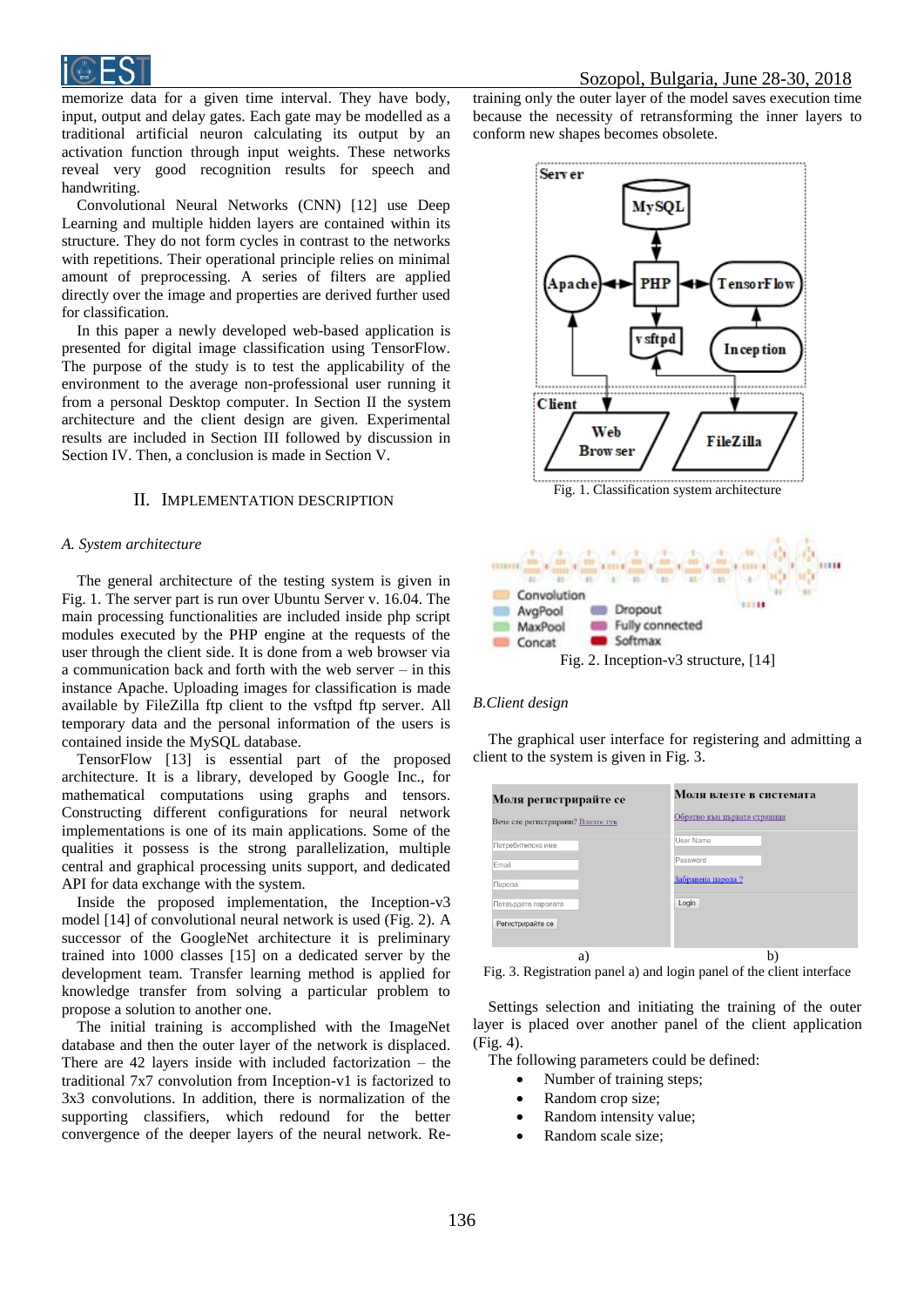

memorize data for a given time interval. They have body, input, output and delay gates. Each gate may be modelled as a traditional artificial neuron calculating its output by an activation function through input weights. These networks reveal very good recognition results for speech and handwriting.

Convolutional Neural Networks (CNN) [12] use Deep Learning and multiple hidden layers are contained within its structure. They do not form cycles in contrast to the networks with repetitions. Their operational principle relies on minimal amount of preprocessing. A series of filters are applied directly over the image and properties are derived further used for classification.

In this paper a newly developed web-based application is presented for digital image classification using TensorFlow. The purpose of the study is to test the applicability of the environment to the average non-professional user running it from a personal Desktop computer. In Section II the system architecture and the client design are given. Experimental results are included in Section III followed by discussion in Section IV. Then, a conclusion is made in Section V.

#### II. IMPLEMENTATION DESCRIPTION

#### *A. System architecture*

The general architecture of the testing system is given in Fig. 1. The server part is run over Ubuntu Server v. 16.04. The main processing functionalities are included inside php script modules executed by the PHP engine at the requests of the user through the client side. It is done from a web browser via a communication back and forth with the web server – in this instance Apache. Uploading images for classification is made available by FileZilla ftp client to the vsftpd ftp server. All temporary data and the personal information of the users is contained inside the MySQL database.

TensorFlow [13] is essential part of the proposed architecture. It is a library, developed by Google Inc., for mathematical computations using graphs and tensors. Constructing different configurations for neural network implementations is one of its main applications. Some of the qualities it possess is the strong parallelization, multiple central and graphical processing units support, and dedicated API for data exchange with the system.

Inside the proposed implementation, the Inception-v3 model [14] of convolutional neural network is used (Fig. 2). A successor of the GoogleNet architecture it is preliminary trained into 1000 classes [15] on a dedicated server by the development team. Transfer learning method is applied for knowledge transfer from solving a particular problem to propose a solution to another one.

The initial training is accomplished with the ImageNet database and then the outer layer of the network is displaced. There are 42 layers inside with included factorization – the traditional 7x7 convolution from Inception-v1 is factorized to 3x3 convolutions. In addition, there is normalization of the supporting classifiers, which redound for the better convergence of the deeper layers of the neural network. Re-

training only the outer layer of the model saves execution time because the necessity of retransforming the inner layers to conform new shapes becomes obsolete.



Fig. 1. Classification system architecture



#### *B.Client design*

The graphical user interface for registering and admitting a client to the system is given in Fig. 3.

| Моля регистрирайте се             | Моля влезте в системата      |
|-----------------------------------|------------------------------|
| Вече сте регистрирани? Влезте тук | Обратно към първата страница |
| Потребителско име                 | <b>User Name</b>             |
| Email                             | Password                     |
| Парола                            | Забравена парола?            |
| Потвърдете паролата               | Login                        |
| Регистрирайте се                  |                              |
| a)                                |                              |

Fig. 3. Registration panel a) and login panel of the client interface

Settings selection and initiating the training of the outer layer is placed over another panel of the client application (Fig. 4).

The following parameters could be defined:

- Number of training steps;
- Random crop size;
- Random intensity value;
- Random scale size;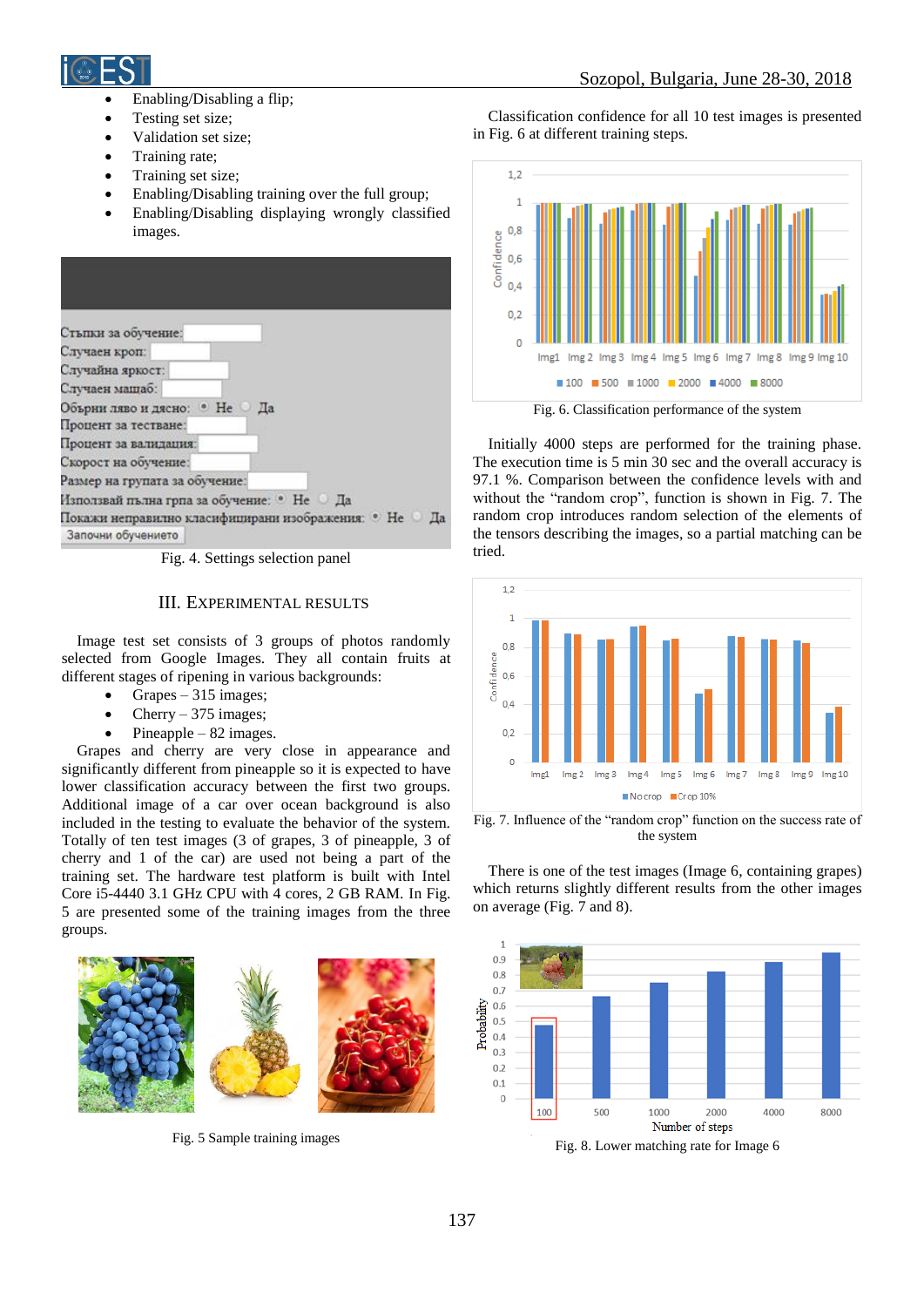

Sozopol, Bulgaria, June 28-30, 2018

- Enabling/Disabling a flip;
- Testing set size;
- Validation set size;
- Training rate;
- Training set size;
- Enabling/Disabling training over the full group;
- Enabling/Disabling displaying wrongly classified images.

| Стъпки за обучение:                               |    |
|---------------------------------------------------|----|
| Случаен кроп:                                     |    |
| Случайна яркост:                                  |    |
| Случаен машаб:                                    |    |
| Обърни ляво и дясно: • Не                         | Да |
| Процент за тестване:                              |    |
| Процент за валидация:                             |    |
| Скорост на обучение:                              |    |
| Размер на групата за обучение:                    |    |
| Използвай пълна грпа за обучение: • Не Да         |    |
| Покажи неправилно класифицирани изображения: • Не | Пa |
| Започни обучението                                |    |

Fig. 4. Settings selection panel

## III. EXPERIMENTAL RESULTS

Image test set consists of 3 groups of photos randomly selected from Google Images. They all contain fruits at different stages of ripening in various backgrounds:

- Grapes 315 images;
- Cherry  $-375$  images;
- Pineapple 82 images.

Grapes and cherry are very close in appearance and significantly different from pineapple so it is expected to have lower classification accuracy between the first two groups. Additional image of a car over ocean background is also included in the testing to evaluate the behavior of the system. Totally of ten test images (3 of grapes, 3 of pineapple, 3 of cherry and 1 of the car) are used not being a part of the training set. The hardware test platform is built with Intel Core i5-4440 3.1 GHz CPU with 4 cores, 2 GB RAM. In Fig. 5 are presented some of the training images from the three groups.



Fig. 5 Sample training images

Classification confidence for all 10 test images is presented in Fig. 6 at different training steps.



Fig. 6. Classification performance of the system

Initially 4000 steps are performed for the training phase. The execution time is 5 min 30 sec and the overall accuracy is 97.1 %. Comparison between the confidence levels with and without the "random crop", function is shown in Fig. 7. The random crop introduces random selection of the elements of the tensors describing the images, so a partial matching can be tried.



Fig. 7. Influence of the "random crop" function on the success rate of the system

There is one of the test images (Image 6, containing grapes) which returns slightly different results from the other images on average (Fig. 7 and 8).



Fig. 8. Lower matching rate for Image 6